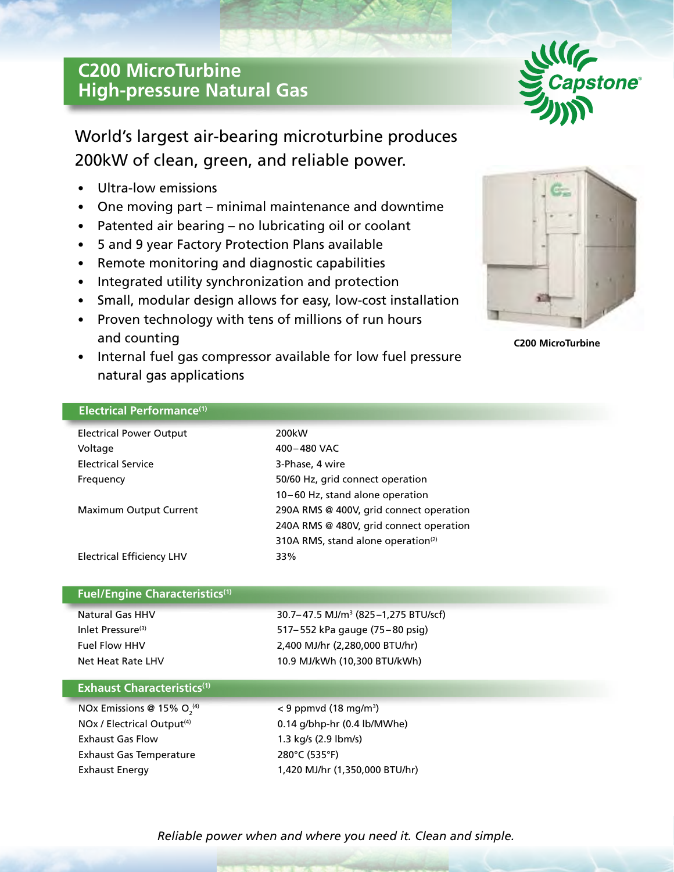# **C200 MicroTurbine High-pressure Natural Gas**



World's largest air-bearing microturbine produces 200kW of clean, green, and reliable power.

- Ultra-low emissions
- One moving part minimal maintenance and downtime
- Patented air bearing no lubricating oil or coolant
- 5 and 9 year Factory Protection Plans available
- Remote monitoring and diagnostic capabilities
- Integrated utility synchronization and protection
- Small, modular design allows for easy, low-cost installation
- Proven technology with tens of millions of run hours and counting
- Internal fuel gas compressor available for low fuel pressure natural gas applications



**C200 MicroTurbine**

## **Electrical Performance(1)**

| <b>Electrical Power Output</b> | 200kW                                          |
|--------------------------------|------------------------------------------------|
| Voltage                        | 400-480 VAC                                    |
| <b>Electrical Service</b>      | 3-Phase, 4 wire                                |
| Frequency                      | 50/60 Hz, grid connect operation               |
|                                | 10-60 Hz, stand alone operation                |
| Maximum Output Current         | 290A RMS @ 400V, grid connect operation        |
|                                | 240A RMS @ 480V, grid connect operation        |
|                                | 310A RMS, stand alone operation <sup>(2)</sup> |
| Electrical Efficiency LHV      | 33%                                            |

## **Fuel/Engine Characteristics(1)**

Natural Gas HHV 30.7– 47.5 MJ/m3 (825–1,275 BTU/scf) Inlet Pressure<sup>(3)</sup> 517–552 kPa gauge (75–80 psig) Fuel Flow HHV 2,400 MJ/hr (2,280,000 BTU/hr) Net Heat Rate LHV 10.9 MJ/kWh (10,300 BTU/kWh)

## **Exhaust Characteristics(1)**

NOx Emissions @ 15%  $O<sub>2</sub><sup>(4)</sup>$ Exhaust Gas Flow 1.3 kg/s (2.9 lbm/s) Exhaust Gas Temperature 280°C (535°F)

 $^{(4)}$   $<$  9 ppmvd (18 mg/m<sup>3</sup>)  $NOX / Electrical Output<sup>(4)</sup>$  0.14 g/bhp-hr (0.4 lb/MWhe) Exhaust Energy 1,420 MJ/hr (1,350,000 BTU/hr)

*Reliable power when and where you need it. Clean and simple.*